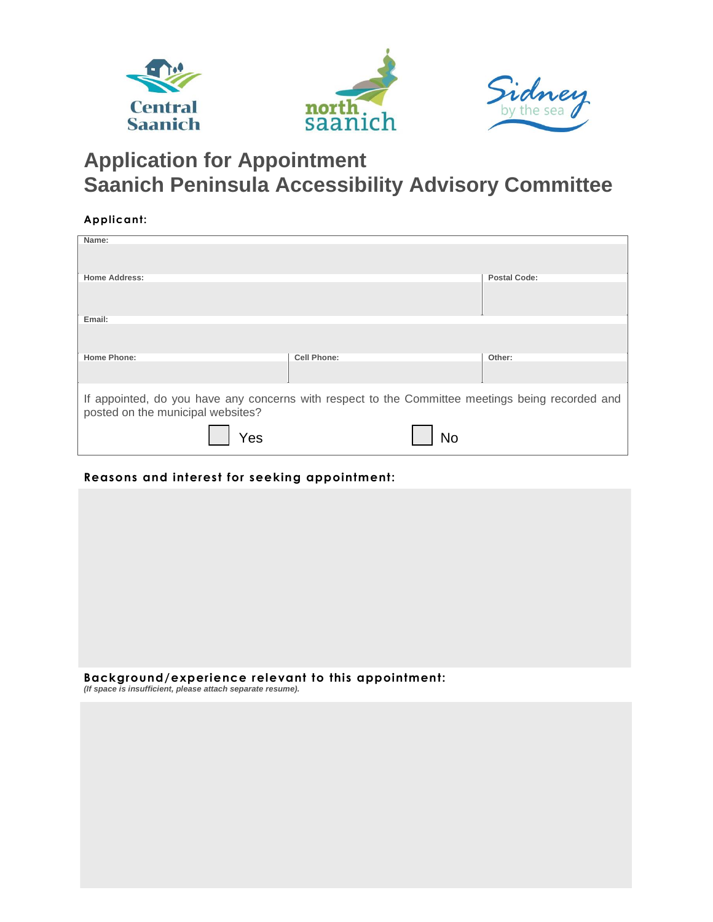

## **Application for Appointment Saanich Peninsula Accessibility Advisory Committee**

## **Applicant:**

| Name:                                                                                                                                 |                    |                     |  |  |
|---------------------------------------------------------------------------------------------------------------------------------------|--------------------|---------------------|--|--|
|                                                                                                                                       |                    |                     |  |  |
| <b>Home Address:</b>                                                                                                                  |                    | <b>Postal Code:</b> |  |  |
|                                                                                                                                       |                    |                     |  |  |
| Email:                                                                                                                                |                    |                     |  |  |
|                                                                                                                                       |                    |                     |  |  |
| <b>Home Phone:</b>                                                                                                                    | <b>Cell Phone:</b> | Other:              |  |  |
|                                                                                                                                       |                    |                     |  |  |
| If appointed, do you have any concerns with respect to the Committee meetings being recorded and<br>posted on the municipal websites? |                    |                     |  |  |
| Yes                                                                                                                                   | N٥                 |                     |  |  |

## **Reasons and interest for seeking appointment:**

| . |  |
|---|--|

**Background/experience relevant to this appointment:**  *(If space is insufficient, please attach separate resume).*